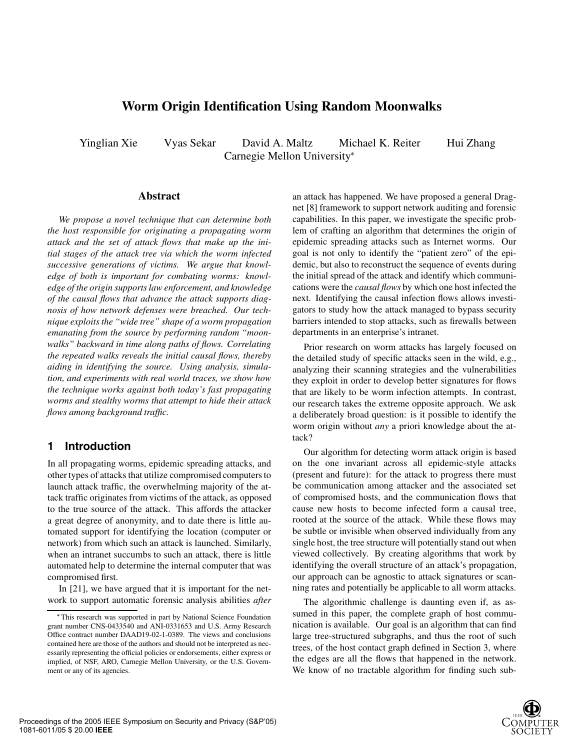# **Worm Origin Identification Using Random Moonwalks**

Yinglian Xie Vyas Sekar David A. Maltz Michael K. Reiter Hui Zhang Carnegie Mellon University

#### **Abstract**

*We propose a novel technique that can determine both the host responsible for originating a propagating worm attack and the set of attack flows that make up the initial stages of the attack tree via which the worm infected successive generations of victims. We argue that knowledge of both is important for combating worms: knowledge of the origin supports law enforcement, and knowledge of the causal flows that advance the attack supports diagnosis of how network defenses were breached. Our technique exploits the "wide tree" shape of a worm propagation emanating from the source by performing random "moonwalks" backward in time along paths of flows. Correlating the repeated walks reveals the initial causal flows, thereby aiding in identifying the source. Using analysis, simulation, and experiments with real world traces, we show how the technique works against both today's fast propagating worms and stealthy worms that attempt to hide their attack flows among background traffic.*

### **1 Introduction**

In all propagating worms, epidemic spreading attacks, and other types of attacks that utilize compromised computers to launch attack traffic, the overwhelming majority of the attack traffic originates from victims of the attack, as opposed to the true source of the attack. This affords the attacker a great degree of anonymity, and to date there is little automated support for identifying the location (computer or network) from which such an attack is launched. Similarly, when an intranet succumbs to such an attack, there is little automated help to determine the internal computer that was compromised first.

In [21], we have argued that it is important for the network to support automatic forensic analysis abilities *after* an attack has happened. We have proposed a general Dragnet [8] framework to support network auditing and forensic capabilities. In this paper, we investigate the specific problem of crafting an algorithm that determines the origin of epidemic spreading attacks such as Internet worms. Our goal is not only to identify the "patient zero" of the epidemic, but also to reconstruct the sequence of events during the initial spread of the attack and identify which communications were the *causal flows* by which one host infected the next. Identifying the causal infection flows allows investigators to study how the attack managed to bypass security barriers intended to stop attacks, such as firewalls between departments in an enterprise's intranet.

Prior research on worm attacks has largely focused on the detailed study of specific attacks seen in the wild, e.g., analyzing their scanning strategies and the vulnerabilities they exploit in order to develop better signatures for flows that are likely to be worm infection attempts. In contrast, our research takes the extreme opposite approach. We ask a deliberately broad question: is it possible to identify the worm origin without *any* a priori knowledge about the attack?

Our algorithm for detecting worm attack origin is based on the one invariant across all epidemic-style attacks (present and future): for the attack to progress there must be communication among attacker and the associated set of compromised hosts, and the communication flows that cause new hosts to become infected form a causal tree, rooted at the source of the attack. While these flows may be subtle or invisible when observed individually from any single host, the tree structure will potentially stand out when viewed collectively. By creating algorithms that work by identifying the overall structure of an attack's propagation, our approach can be agnostic to attack signatures or scanning rates and potentially be applicable to all worm attacks.

The algorithmic challenge is daunting even if, as assumed in this paper, the complete graph of host communication is available. Our goal is an algorithm that can find large tree-structured subgraphs, and thus the root of such trees, of the host contact graph defined in Section 3, where the edges are all the flows that happened in the network. We know of no tractable algorithm for finding such sub-



This research was supported in part by National Science Foundation grant number CNS-0433540 and ANI-0331653 and U.S. Army Research Office contract number DAAD19-02-1-0389. The views and conclusions contained here are those of the authors and should not be interpreted as necessarily representing the official policies or endorsements, either express or implied, of NSF, ARO, Carnegie Mellon University, or the U.S. Government or any of its agencies.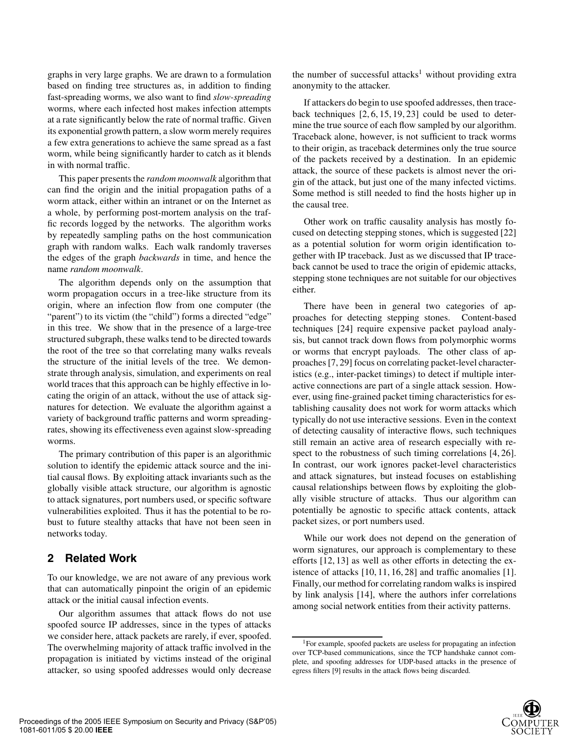graphs in very large graphs. We are drawn to a formulation based on finding tree structures as, in addition to finding fast-spreading worms, we also want to find *slow-spreading* worms, where each infected host makes infection attempts at a rate significantly below the rate of normal traffic. Given its exponential growth pattern, a slow worm merely requires a few extra generations to achieve the same spread as a fast worm, while being significantly harder to catch as it blends in with normal traffic.

This paper presents the *random moonwalk* algorithm that can find the origin and the initial propagation paths of a worm attack, either within an intranet or on the Internet as a whole, by performing post-mortem analysis on the traffic records logged by the networks. The algorithm works by repeatedly sampling paths on the host communication graph with random walks. Each walk randomly traverses the edges of the graph *backwards* in time, and hence the name *random moonwalk*.

The algorithm depends only on the assumption that worm propagation occurs in a tree-like structure from its origin, where an infection flow from one computer (the "parent") to its victim (the "child") forms a directed "edge" in this tree. We show that in the presence of a large-tree structured subgraph, these walks tend to be directed towards the root of the tree so that correlating many walks reveals the structure of the initial levels of the tree. We demonstrate through analysis, simulation, and experiments on real world traces that this approach can be highly effective in locating the origin of an attack, without the use of attack signatures for detection. We evaluate the algorithm against a variety of background traffic patterns and worm spreadingrates, showing its effectiveness even against slow-spreading worms.

The primary contribution of this paper is an algorithmic solution to identify the epidemic attack source and the initial causal flows. By exploiting attack invariants such as the globally visible attack structure, our algorithm is agnostic to attack signatures, port numbers used, or specific software vulnerabilities exploited. Thus it has the potential to be robust to future stealthy attacks that have not been seen in networks today.

### **2 Related Work**

To our knowledge, we are not aware of any previous work that can automatically pinpoint the origin of an epidemic attack or the initial causal infection events.

Our algorithm assumes that attack flows do not use spoofed source IP addresses, since in the types of attacks we consider here, attack packets are rarely, if ever, spoofed. The overwhelming majority of attack traffic involved in the propagation is initiated by victims instead of the original attacker, so using spoofed addresses would only decrease the number of successful attacks<sup>1</sup> without providing extra anonymity to the attacker.

If attackers do begin to use spoofed addresses, then traceback techniques [2, 6, 15, 19, 23] could be used to determine the true source of each flow sampled by our algorithm. Traceback alone, however, is not sufficient to track worms to their origin, as traceback determines only the true source of the packets received by a destination. In an epidemic attack, the source of these packets is almost never the origin of the attack, but just one of the many infected victims. Some method is still needed to find the hosts higher up in the causal tree.

Other work on traffic causality analysis has mostly focused on detecting stepping stones, which is suggested [22] as a potential solution for worm origin identification together with IP traceback. Just as we discussed that IP traceback cannot be used to trace the origin of epidemic attacks, stepping stone techniques are not suitable for our objectives either.

There have been in general two categories of approaches for detecting stepping stones. Content-based techniques [24] require expensive packet payload analysis, but cannot track down flows from polymorphic worms or worms that encrypt payloads. The other class of approaches [7, 29] focus on correlating packet-level characteristics (e.g., inter-packet timings) to detect if multiple interactive connections are part of a single attack session. However, using fine-grained packet timing characteristics for establishing causality does not work for worm attacks which typically do not use interactive sessions. Even in the context of detecting causality of interactive flows, such techniques still remain an active area of research especially with respect to the robustness of such timing correlations [4, 26]. In contrast, our work ignores packet-level characteristics and attack signatures, but instead focuses on establishing causal relationships between flows by exploiting the globally visible structure of attacks. Thus our algorithm can potentially be agnostic to specific attack contents, attack packet sizes, or port numbers used.

While our work does not depend on the generation of worm signatures, our approach is complementary to these efforts [12, 13] as well as other efforts in detecting the existence of attacks [10, 11, 16, 28] and traffic anomalies [1]. Finally, our method for correlating random walks is inspired by link analysis [14], where the authors infer correlations among social network entities from their activity patterns.

<sup>1</sup>For example, spoofed packets are useless for propagating an infection over TCP-based communications, since the TCP handshake cannot complete, and spoofing addresses for UDP-based attacks in the presence of egress filters [9] results in the attack flows being discarded.

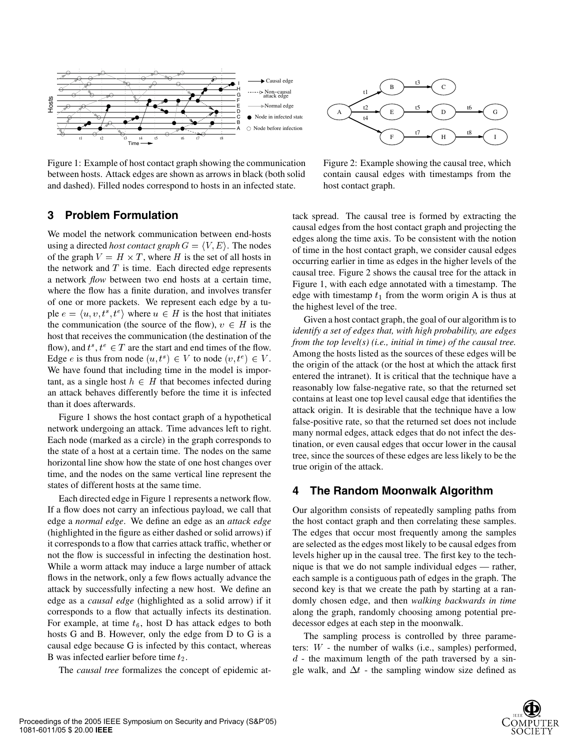

Figure 1: Example of host contact graph showing the communication between hosts. Attack edges are shown as arrows in black (both solid and dashed). Filled nodes correspond to hosts in an infected state.



Figure 2: Example showing the causal tree, which contain causal edges with timestamps from the host contact graph.

### **3 Problem Formulation**

We model the network communication between end-hosts using a directed *host contact graph*  $G = \langle V, E \rangle$ . The nodes of the graph  $V = H \times T$ , where H is the set of all hosts in the network and  $T$  is time. Each directed edge represents a network *flow* between two end hosts at a certain time, where the flow has a finite duration, and involves transfer of one or more packets. We represent each edge by a tuple  $e = \langle u, v, t^s, t^e \rangle$  where  $u \in H$  is the host that initiates the communication (the source of the flow),  $v \in H$  is the host that receives the communication (the destination of the flow), and  $t^s$ ,  $t^e \in T$  are the start and end times of the flow. Edge e is thus from node  $(u, t^s) \in V$  to node  $(v, t^e) \in V$ . We have found that including time in the model is important, as a single host  $h \in H$  that becomes infected during an attack behaves differently before the time it is infected than it does afterwards.

Figure 1 shows the host contact graph of a hypothetical network undergoing an attack. Time advances left to right. Each node (marked as a circle) in the graph corresponds to the state of a host at a certain time. The nodes on the same horizontal line show how the state of one host changes over time, and the nodes on the same vertical line represent the states of different hosts at the same time.

Each directed edge in Figure 1 represents a network flow. If a flow does not carry an infectious payload, we call that edge a *normal edge*. We define an edge as an *attack edge* (highlighted in the figure as either dashed or solid arrows) if it corresponds to a flow that carries attack traffic, whether or not the flow is successful in infecting the destination host. While a worm attack may induce a large number of attack flows in the network, only a few flows actually advance the attack by successfully infecting a new host. We define an edge as a *causal edge* (highlighted as a solid arrow) if it corresponds to a flow that actually infects its destination. For example, at time  $t_6$ , host D has attack edges to both hosts G and B. However, only the edge from D to G is a causal edge because G is infected by this contact, whereas B was infected earlier before time  $t_2$ .

The *causal tree* formalizes the concept of epidemic at-

tack spread. The causal tree is formed by extracting the causal edges from the host contact graph and projecting the edges along the time axis. To be consistent with the notion of time in the host contact graph, we consider causal edges occurring earlier in time as edges in the higher levels of the causal tree. Figure 2 shows the causal tree for the attack in Figure 1, with each edge annotated with a timestamp. The edge with timestamp  $t_1$  from the worm origin A is thus at the highest level of the tree.

Given a host contact graph, the goal of our algorithm is to *identify a set of edges that, with high probability, are edges from the top level(s) (i.e., initial in time) of the causal tree.* Among the hosts listed as the sources of these edges will be the origin of the attack (or the host at which the attack first entered the intranet). It is critical that the technique have a reasonably low false-negative rate, so that the returned set contains at least one top level causal edge that identifies the attack origin. It is desirable that the technique have a low false-positive rate, so that the returned set does not include many normal edges, attack edges that do not infect the destination, or even causal edges that occur lower in the causal tree, since the sources of these edges are less likely to be the true origin of the attack.

### **4 The Random Moonwalk Algorithm**

Our algorithm consists of repeatedly sampling paths from the host contact graph and then correlating these samples. The edges that occur most frequently among the samples are selected as the edges most likely to be causal edges from levels higher up in the causal tree. The first key to the technique is that we do not sample individual edges — rather, each sample is a contiguous path of edges in the graph. The second key is that we create the path by starting at a randomly chosen edge, and then *walking backwards in time* along the graph, randomly choosing among potential predecessor edges at each step in the moonwalk.

The sampling process is controlled by three parameters:  $W$  - the number of walks (i.e., samples) performed,  $d$  - the maximum length of the path traversed by a single walk, and  $\Delta t$  - the sampling window size defined as

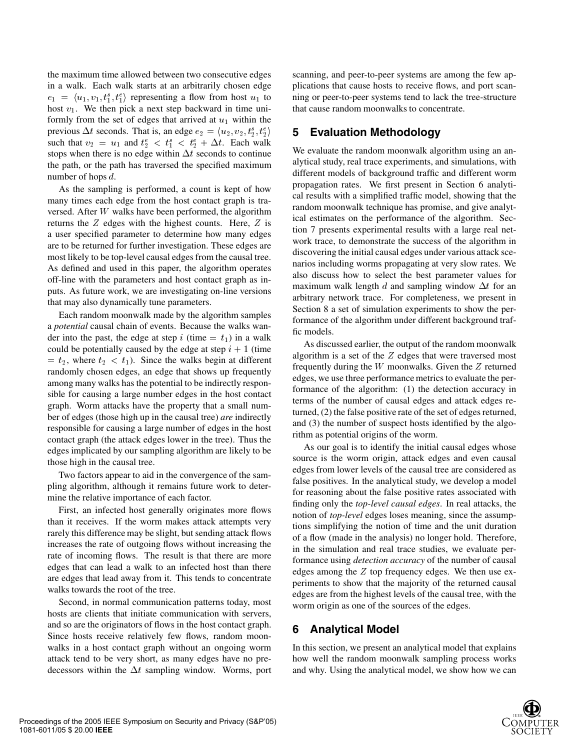the maximum time allowed between two consecutive edges in a walk. Each walk starts at an arbitrarily chosen edge  $e_1 = \langle u_1, v_1, t_1^s, t_1^e \rangle$  representing a flow from host  $u_1$  to host  $v_1$ . We then pick a next step backward in time uniformly from the set of edges that arrived at  $u_1$  within the previous  $\Delta t$  seconds. That is, an edge  $e_2 = \langle u_2, v_2, t_2^s, t_2^e \rangle$  5 such that  $v_2 = u_1$  and  $t_2^e < t_1^e < t_2^e + \Delta t$ . Each walk stops when there is no edge within  $\Delta t$  seconds to continue the path, or the path has traversed the specified maximum number of hops  $d$ .

As the sampling is performed, a count is kept of how many times each edge from the host contact graph is traversed. After  $W$  walks have been performed, the algorithm returns the  $Z$  edges with the highest counts. Here,  $Z$  is a user specified parameter to determine how many edges are to be returned for further investigation. These edges are most likely to be top-level causal edges from the causal tree. As defined and used in this paper, the algorithm operates off-line with the parameters and host contact graph as inputs. As future work, we are investigating on-line versions that may also dynamically tune parameters.

Each random moonwalk made by the algorithm samples a *potential* causal chain of events. Because the walks wander into the past, the edge at step i (time  $= t_1$ ) in a walk could be potentially caused by the edge at step  $i + 1$  (time  $t_1 = t_2$ , where  $t_2 < t_1$ ). Since the walks begin at different randomly chosen edges, an edge that shows up frequently among many walks has the potential to be indirectly responsible for causing a large number edges in the host contact graph. Worm attacks have the property that a small number of edges (those high up in the causal tree) *are* indirectly responsible for causing a large number of edges in the host contact graph (the attack edges lower in the tree). Thus the edges implicated by our sampling algorithm are likely to be those high in the causal tree.

Two factors appear to aid in the convergence of the sampling algorithm, although it remains future work to determine the relative importance of each factor.

First, an infected host generally originates more flows than it receives. If the worm makes attack attempts very rarely this difference may be slight, but sending attack flows increases the rate of outgoing flows without increasing the rate of incoming flows. The result is that there are more edges that can lead a walk to an infected host than there are edges that lead away from it. This tends to concentrate walks towards the root of the tree.

Second, in normal communication patterns today, most hosts are clients that initiate communication with servers, and so are the originators of flows in the host contact graph. Since hosts receive relatively few flows, random moonwalks in a host contact graph without an ongoing worm attack tend to be very short, as many edges have no predecessors within the  $\Delta t$  sampling window. Worms, port scanning, and peer-to-peer systems are among the few applications that cause hosts to receive flows, and port scanning or peer-to-peer systems tend to lack the tree-structure that cause random moonwalks to concentrate.

### **5 Evaluation Methodology**

We evaluate the random moonwalk algorithm using an analytical study, real trace experiments, and simulations, with different models of background traffic and different worm propagation rates. We first present in Section 6 analytical results with a simplified traffic model, showing that the random moonwalk technique has promise, and give analytical estimates on the performance of the algorithm. Section 7 presents experimental results with a large real network trace, to demonstrate the success of the algorithm in discovering the initial causal edges under various attack scenarios including worms propagating at very slow rates. We also discuss how to select the best parameter values for maximum walk length  $d$  and sampling window  $\Delta t$  for an arbitrary network trace. For completeness, we present in Section 8 a set of simulation experiments to show the performance of the algorithm under different background traffic models.

As discussed earlier, the output of the random moonwalk algorithm is a set of the  $Z$  edges that were traversed most frequently during the  $W$  moonwalks. Given the  $Z$  returned edges, we use three performance metrics to evaluate the performance of the algorithm: (1) the detection accuracy in terms of the number of causal edges and attack edges returned, (2) the false positive rate of the set of edges returned, and (3) the number of suspect hosts identified by the algorithm as potential origins of the worm.

As our goal is to identify the initial causal edges whose source is the worm origin, attack edges and even causal edges from lower levels of the causal tree are considered as false positives. In the analytical study, we develop a model for reasoning about the false positive rates associated with finding only the *top-level causal edges*. In real attacks, the notion of *top-level* edges loses meaning, since the assumptions simplifying the notion of time and the unit duration of a flow (made in the analysis) no longer hold. Therefore, in the simulation and real trace studies, we evaluate performance using *detection accuracy* of the number of causal edges among the  $Z$  top frequency edges. We then use experiments to show that the majority of the returned causal edges are from the highest levels of the causal tree, with the worm origin as one of the sources of the edges.

# **6 Analytical Model**

In this section, we present an analytical model that explains how well the random moonwalk sampling process works and why. Using the analytical model, we show how we can

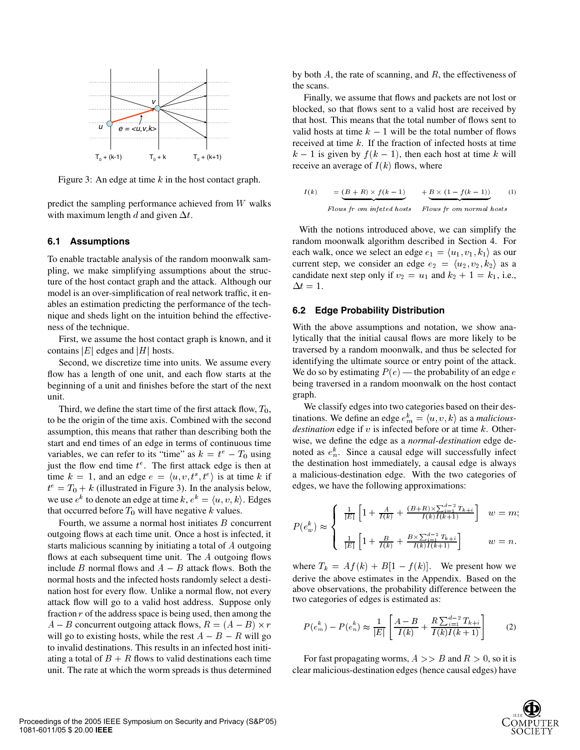

Figure 3: An edge at time  $k$  in the host contact graph.

predict the sampling performance achieved from  $W$  walks with maximum length d and given  $\Delta t$ .

#### **6.1 Assumptions**

To enable tractable analysis of the random moonwalk sampling, we make simplifying assumptions about the structure of the host contact graph and the attack. Although our model is an over-simplification of real network traffic, it enables an estimation predicting the performance of the technique and sheds light on the intuition behind the effectiveness of the technique.

First, we assume the host contact graph is known, and it contains  $|E|$  edges and  $|H|$  hosts.

Second, we discretize time into units. We assume every flow has a length of one unit, and each flow starts at the beginning of a unit and finishes before the start of the next unit.

Third, we define the start time of the first attack flow,  $T_0$ , to be the origin of the time axis. Combined with the second assumption, this means that rather than describing both the start and end times of an edge in terms of continuous time variables, we can refer to its "time" as  $k = t^e - T_0$  using just the flow end time  $t^e$ . The first attack edge is then at time  $k = 1$ , and an edge  $e = \langle u, v, t^s, t^e \rangle$  is at time k if a  $t^e = T_0 + k$  (illustrated in Figure 3). In the analysis below, we use  $e^k$  to denote an edge at time  $k, e^k = \langle u, v, k \rangle$ . Edges that occurred before  $T_0$  will have negative  $k$  values.

Fourth, we assume a normal host initiates  $B$  concurrent outgoing flows at each time unit. Once a host is infected, it starts malicious scanning by initiating a total of  $A$  outgoing flows at each subsequent time unit. The  $A$  outgoing flows include  $B$  normal flows and  $A - B$  attack flows. Both the normal hosts and the infected hosts randomly select a destination host for every flow. Unlike a normal flow, not every attack flow will go to a valid host address. Suppose only fraction  $r$  of the address space is being used, then among the  $A - B$  concurrent outgoing attack flows,  $R = (A - B) \times r$ will go to existing hosts, while the rest  $A - B - R$  will go to invalid destinations. This results in an infected host initiating a total of  $B + R$  flows to valid destinations each time unit. The rate at which the worm spreads is thus determined by both  $A$ , the rate of scanning, and  $R$ , the effectiveness of the scans.

Finally, we assume that flows and packets are not lost or blocked, so that flows sent to a valid host are received by that host. This means that the total number of flows sent to valid hosts at time  $k-1$  will be the total number of flows received at time  $k$ . If the fraction of infected hosts at time  $k-1$  is given by  $f(k-1)$ , then each host at time k will receive an average of  $I(k)$  flows, where

$$
I(k) = \underbrace{(B+R) \times f(k-1)}_{Flows\ fr\ om\ infeted\ hosts} + \underbrace{B \times (1 - f(k-1))}_{Flows\ fr\ om\ normal\ hosts}
$$
 (1)

With the notions introduced above, we can simplify the random moonwalk algorithm described in Section 4. For each walk, once we select an edge  $e_1 = \langle u_1, v_1, k_1 \rangle$  as our current step, we consider an edge  $e_2 = \langle u_2, v_2, k_2 \rangle$  as a candidate next step only if  $v_2 = u_1$  and  $k_2 + 1 = k_1$ , i.e.,  $\Delta t = 1.$ 

#### **6.2 Edge Probability Distribution**

With the above assumptions and notation, we show analytically that the initial causal flows are more likely to be traversed by a random moonwalk, and thus be selected for identifying the ultimate source or entry point of the attack. We do so by estimating  $P(e)$  — the probability of an edge e being traversed in a random moonwalk on the host contact graph.

We classify edges into two categories based on their destinations. We define an edge  $e_m^k = \langle u, v, k \rangle$  as a *maliciousdestination* edge if  $v$  is infected before or at time  $k$ . Otherwise, we define the edge as a *normal-destination* edge denoted as  $e_n^k$ . Since a causal edge will successfully infect the destination host immediately, a causal edge is always a malicious-destination edge. With the two categories of edges, we have the following approximations:

$$
P(e_w^k) \approx \left\{ \begin{array}{ll} \frac{1}{|E|} \left[ 1 + \frac{A}{I(k)} + \frac{(B+R) \times \sum_{i=1}^{d-2} T_{k+i}}{I(k)I(k+1)} \right] & w = m; \\ \\ \frac{1}{|E|} \left[ 1 + \frac{B}{I(k)} + \frac{B \times \sum_{i=1}^{d-2} T_{k+i}}{I(k)I(k+1)} \right] & w = n. \end{array} \right.
$$

where  $T_k = Af(k) + B[1 - f(k)]$ . We present how we derive the above estimates in the Appendix. Based on the above observations, the probability difference between the two categories of edges is estimated as:

$$
P(e_m^k) - P(e_n^k) \approx \frac{1}{|E|} \left[ \frac{A - B}{I(k)} + \frac{R \sum_{i=1}^{d-2} T_{k+i}}{I(k)I(k+1)} \right] \tag{2}
$$

For fast propagating worms,  $A \ge B$  and  $R > 0$ , so it is clear malicious-destination edges (hence causal edges) have

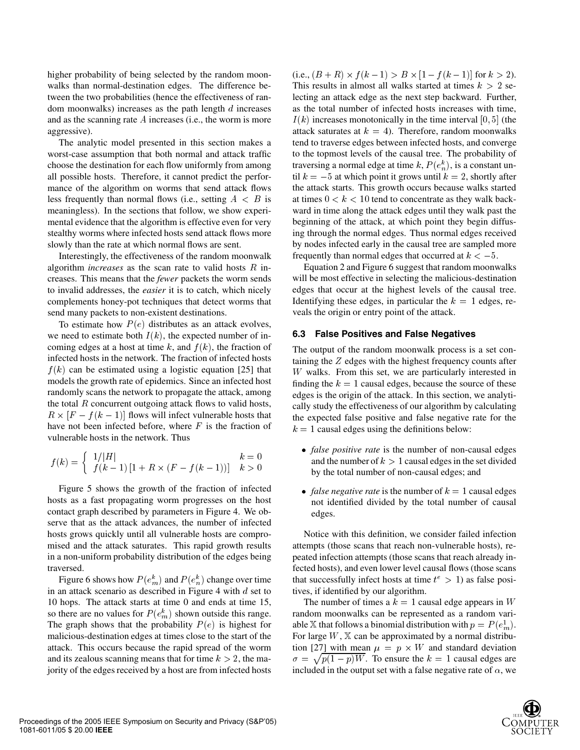higher probability of being selected by the random moonwalks than normal-destination edges. The difference between the two probabilities (hence the effectiveness of random moonwalks) increases as the path length  $d$  increases and as the scanning rate  $A$  increases (i.e., the worm is more aggressive).

The analytic model presented in this section makes a worst-case assumption that both normal and attack traffic choose the destination for each flow uniformly from among all possible hosts. Therefore, it cannot predict the performance of the algorithm on worms that send attack flows less frequently than normal flows (i.e., setting  $A \leq B$  is meaningless). In the sections that follow, we show experimental evidence that the algorithm is effective even for very stealthy worms where infected hosts send attack flows more slowly than the rate at which normal flows are sent.

Interestingly, the effectiveness of the random moonwalk algorithm *increases* as the scan rate to valid hosts  $R$  increases. This means that the *fewer* packets the worm sends to invalid addresses, the *easier* it is to catch, which nicely complements honey-pot techniques that detect worms that send many packets to non-existent destinations.

To estimate how  $P(e)$  distributes as an attack evolves, we need to estimate both  $I(k)$ , the expected number of incoming edges at a host at time k, and  $f(k)$ , the fraction of infected hosts in the network. The fraction of infected hosts  $f(k)$  can be estimated using a logistic equation [25] that models the growth rate of epidemics. Since an infected host randomly scans the network to propagate the attack, among the total  $R$  concurrent outgoing attack flows to valid hosts,  $R \times [F - f(k - 1)]$  flows will infect vulnerable hosts that have not been infected before, where  $F$  is the fraction of vulnerable hosts in the network. Thus

$$
f(k) = \begin{cases} 1/|H| & k = 0\\ f(k-1)[1 + R \times (F - f(k-1))] & k > 0 \end{cases}
$$

Figure 5 shows the growth of the fraction of infected hosts as a fast propagating worm progresses on the host contact graph described by parameters in Figure 4. We observe that as the attack advances, the number of infected hosts grows quickly until all vulnerable hosts are compromised and the attack saturates. This rapid growth results in a non-uniform probability distribution of the edges being traversed.

Figure 6 shows how  $P(e_m^k)$  and  $P(e_n^k)$  change over time in an attack scenario as described in Figure 4 with  $d$  set to 10 hops. The attack starts at time 0 and ends at time 15, so there are no values for  $P(e_m^k)$  shown outside this range. The graph shows that the probability  $P(e)$  is highest for malicious-destination edges at times close to the start of the attack. This occurs because the rapid spread of the worm and its zealous scanning means that for time  $k > 2$ , the majority of the edges received by a host are from infected hosts

B is at times  $0 < k < 10$  tend to concentrate as they walk back-(i.e.,  $(B+R) \times f(k-1) > B \times [1-f(k-1)]$  for  $k > 2$ ). This results in almost all walks started at times  $k > 2$  selecting an attack edge as the next step backward. Further, as the total number of infected hosts increases with time,  $I(k)$  increases monotonically in the time interval [0, 5] (the attack saturates at  $k = 4$ ). Therefore, random moonwalks tend to traverse edges between infected hosts, and converge to the topmost levels of the causal tree. The probability of traversing a normal edge at time k,  $P(e_n^k)$ , is a constant until  $k = -5$  at which point it grows until  $k = 2$ , shortly after the attack starts. This growth occurs because walks started ward in time along the attack edges until they walk past the beginning of the attack, at which point they begin diffusing through the normal edges. Thus normal edges received by nodes infected early in the causal tree are sampled more frequently than normal edges that occurred at  $k < -5$ .

> Equation 2 and Figure 6 suggest that random moonwalks will be most effective in selecting the malicious-destination edges that occur at the highest levels of the causal tree. Identifying these edges, in particular the  $k = 1$  edges, reveals the origin or entry point of the attack.

#### **6.3 False Positives and False Negatives**

The output of the random moonwalk process is a set containing the  $Z$  edges with the highest frequency counts after  $W$  walks. From this set, we are particularly interested in finding the  $k = 1$  causal edges, because the source of these edges is the origin of the attack. In this section, we analytically study the effectiveness of our algorithm by calculating the expected false positive and false negative rate for the  $k = 1$  causal edges using the definitions below:

- *false positive rate* is the number of non-causal edges and the number of  $k > 1$  causal edges in the set divided by the total number of non-causal edges; and
- *false negative rate* is the number of  $k = 1$  causal edges not identified divided by the total number of causal edges.

Notice with this definition, we consider failed infection attempts (those scans that reach non-vulnerable hosts), repeated infection attempts (those scans that reach already infected hosts), and even lower level causal flows (those scans that successfully infect hosts at time  $t^e > 1$ ) as false positives, if identified by our algorithm.

The number of times a  $k = 1$  causal edge appears in W random moonwalks can be represented as a random variable X that follows a binomial distribution with  $p = P(e_m^1)$ . For large  $W$ ,  $X$  can be approximated by a normal distribution [27] with mean  $\mu = p \times W$  and standard deviation  $\sigma = \sqrt{p(1-p)W}$ . To ensure the  $k = 1$  causal edges are included in the output set with a false negative rate of  $\alpha$ , we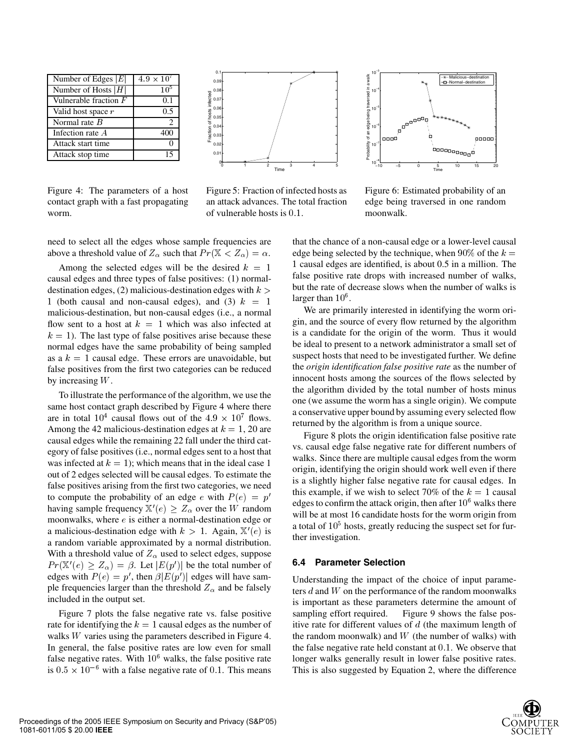| Number of Edges $ E $   | $4.9 \times 10^{7}$ |  |
|-------------------------|---------------------|--|
| Number of Hosts $ H $   | 10 <sup>5</sup>     |  |
| Vulnerable fraction $F$ | 0.1                 |  |
| Valid host space r      | 0.5                 |  |
| Normal rate $B$         | 2                   |  |
| Infection rate A        | 400                 |  |
| Attack start time       |                     |  |
| Attack stop time        |                     |  |

Figure 4: The parameters of a host contact graph with a fast propagating worm.



Figure 5: Fraction of infected hosts as an attack advances. The total fraction of vulnerable hosts is  $0.1$ .



Figure 6: Estimated probability of an edge being traversed in one random moonwalk.

need to select all the edges whose sample frequencies are above a threshold value of  $Z_{\alpha}$  such that  $Pr(\mathbb{X} < Z_{\alpha}) = \alpha$ . edge l

Among the selected edges will be the desired  $k = 1$ causal edges and three types of false positives: (1) normaldestination edges, (2) malicious-destination edges with  $k >$ 1 (both causal and non-causal edges), and (3)  $k = 1$ malicious-destination, but non-causal edges (i.e., a normal flow sent to a host at  $k = 1$  which was also infected at  $k = 1$ ). The last type of false positives arise because these normal edges have the same probability of being sampled as a  $k = 1$  causal edge. These errors are unavoidable, but false positives from the first two categories can be reduced by increasing  $W$ .

To illustrate the performance of the algorithm, we use the same host contact graph described by Figure 4 where there are in total  $10^4$  causal flows out of the  $4.9 \times 10^7$  flows. Among the 42 malicious-destination edges at  $k = 1, 20$  are causal edges while the remaining 22 fall under the third category of false positives (i.e., normal edges sent to a host that was infected at  $k = 1$ ; which means that in the ideal case 1 out of 2 edges selected will be causal edges. To estimate the false positives arising from the first two categories, we need to compute the probability of an edge e with  $P(e) = p'$ having sample frequency  $X'(e) \geq Z_\alpha$  over the W random moonwalks, where  $e$  is either a normal-destination edge or a malicious-destination edge with  $k > 1$ . Again,  $\mathbb{X}'(e)$  is a random variable approximated by a normal distribution. With a threshold value of  $Z_\alpha$  used to select edges, suppose  $Pr(\mathbb{X}'(e) \geq Z_\alpha) = \beta$ . Let  $|E(p')|$  be the total number of edges with  $P(e) = p'$ , then  $\beta |E(p')|$  edges will have sample frequencies larger than the threshold  $Z_{\alpha}$  and be falsely included in the output set.

Figure 7 plots the false negative rate vs. false positive rate for identifying the  $k = 1$  causal edges as the number of walks  $W$  varies using the parameters described in Figure 4. In general, the false positive rates are low even for small false negative rates. With  $10<sup>6</sup>$  walks, the false positive rate is  $0.5 \times 10^{-6}$  with a false negative rate of 0.1. This means

that the chance of a non-causal edge or a lower-level causal edge being selected by the technique, when  $90\%$  of the  $k =$  causal edges are identified, is about 0.5 in a million. The false positive rate drops with increased number of walks, but the rate of decrease slows when the number of walks is larger than  $10^6$ .

We are primarily interested in identifying the worm origin, and the source of every flow returned by the algorithm is a candidate for the origin of the worm. Thus it would be ideal to present to a network administrator a small set of suspect hosts that need to be investigated further. We define the *origin identification false positive rate* as the number of innocent hosts among the sources of the flows selected by the algorithm divided by the total number of hosts minus one (we assume the worm has a single origin). We compute a conservative upper bound by assuming every selected flow returned by the algorithm is from a unique source.

Figure 8 plots the origin identification false positive rate vs. causal edge false negative rate for different numbers of walks. Since there are multiple causal edges from the worm origin, identifying the origin should work well even if there is a slightly higher false negative rate for causal edges. In this example, if we wish to select 70% of the  $k = 1$  causal edges to confirm the attack origin, then after  $10^6$  walks there will be at most 16 candidate hosts for the worm origin from a total of  $10<sup>5</sup>$  hosts, greatly reducing the suspect set for further investigation.

#### **6.4 Parameter Selection**

Understanding the impact of the choice of input parameters  $d$  and  $W$  on the performance of the random moonwalks is important as these parameters determine the amount of sampling effort required. Figure 9 shows the false positive rate for different values of  $d$  (the maximum length of the random moonwalk) and  $W$  (the number of walks) with the false negative rate held constant at  $0.1$ . We observe that longer walks generally result in lower false positive rates. This is also suggested by Equation 2, where the difference

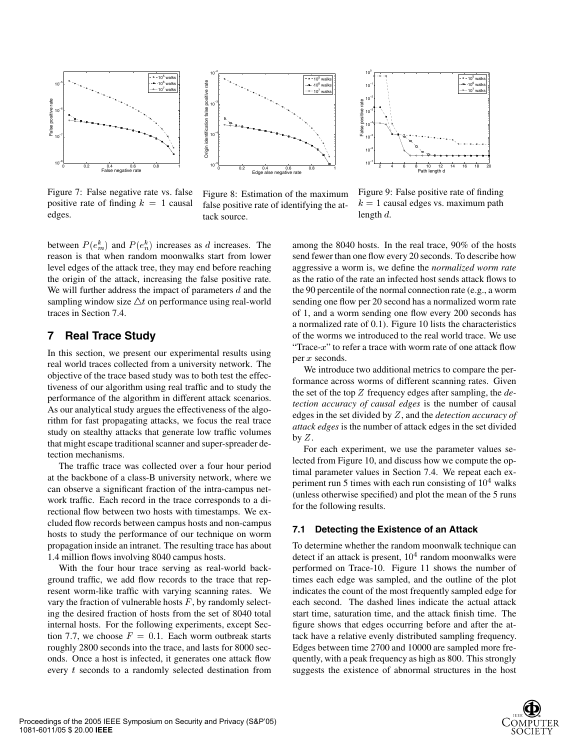

Figure 7: False negative rate vs. false positive rate of finding  $k = 1$  causal edges.



Figure 8: Estimation of the maximum false positive rate of identifying the attack source.



Figure 9: False positive rate of finding  $k = 1$  causal edges vs. maximum path length  $d$ .

between  $P(e_m^k)$  and  $P(e_n^k)$  increases as d increases. The reason is that when random moonwalks start from lower level edges of the attack tree, they may end before reaching the origin of the attack, increasing the false positive rate. We will further address the impact of parameters  $d$  and the sampling window size  $\Delta t$  on performance using real-world traces in Section 7.4.

## **7 Real Trace Study**

In this section, we present our experimental results using real world traces collected from a university network. The objective of the trace based study was to both test the effectiveness of our algorithm using real traffic and to study the performance of the algorithm in different attack scenarios. As our analytical study argues the effectiveness of the algorithm for fast propagating attacks, we focus the real trace study on stealthy attacks that generate low traffic volumes that might escape traditional scanner and super-spreader detection mechanisms.

The traffic trace was collected over a four hour period at the backbone of a class-B university network, where we can observe a significant fraction of the intra-campus network traffic. Each record in the trace corresponds to a directional flow between two hosts with timestamps. We excluded flow records between campus hosts and non-campus hosts to study the performance of our technique on worm propagation inside an intranet. The resulting trace has about 1.4 million flows involving 8040 campus hosts.

With the four hour trace serving as real-world background traffic, we add flow records to the trace that represent worm-like traffic with varying scanning rates. We vary the fraction of vulnerable hosts  $F$ , by randomly selecting the desired fraction of hosts from the set of 8040 total internal hosts. For the following experiments, except Section 7.7, we choose  $F = 0.1$ . Each worm outbreak starts roughly 2800 seconds into the trace, and lasts for 8000 seconds. Once a host is infected, it generates one attack flow every  $t$  seconds to a randomly selected destination from

among the 8040 hosts. In the real trace, 90% of the hosts send fewer than one flow every 20 seconds. To describe how aggressive a worm is, we define the *normalized worm rate* as the ratio of the rate an infected host sends attack flows to the 90 percentile of the normal connection rate (e.g., a worm sending one flow per 20 second has a normalized worm rate of 1, and a worm sending one flow every 200 seconds has a normalized rate of 0.1). Figure 10 lists the characteristics of the worms we introduced to the real world trace. We use "Trace- $x$ " to refer a trace with worm rate of one attack flow per  $x$  seconds.

We introduce two additional metrics to compare the performance across worms of different scanning rates. Given the set of the top Z frequency edges after sampling, the *detection accuracy of causal edges* is the number of causal edges in the set divided by Z, and the *detection accuracy of attack edges* is the number of attack edges in the set divided by  $Z$ .

For each experiment, we use the parameter values selected from Figure 10, and discuss how we compute the optimal parameter values in Section 7.4. We repeat each experiment run 5 times with each run consisting of  $10<sup>4</sup>$  walks (unless otherwise specified) and plot the mean of the 5 runs for the following results.

#### **7.1 Detecting the Existence of an Attack**

To determine whether the random moonwalk technique can detect if an attack is present,  $10<sup>4</sup>$  random moonwalks were performed on Trace-10. Figure 11 shows the number of times each edge was sampled, and the outline of the plot indicates the count of the most frequently sampled edge for each second. The dashed lines indicate the actual attack start time, saturation time, and the attack finish time. The figure shows that edges occurring before and after the attack have a relative evenly distributed sampling frequency. Edges between time 2700 and 10000 are sampled more frequently, with a peak frequency as high as 800. This strongly suggests the existence of abnormal structures in the host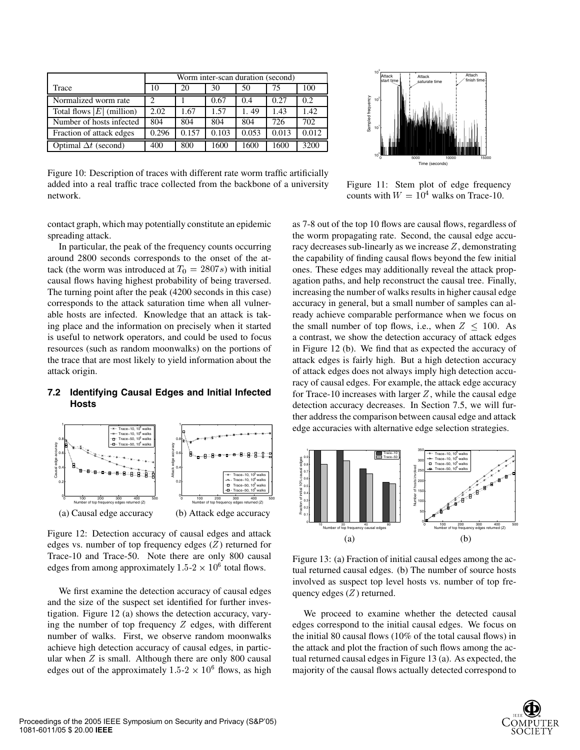|                             | Worm inter-scan duration (second) |       |       |       |       |       |
|-----------------------------|-----------------------------------|-------|-------|-------|-------|-------|
| Trace                       | 10                                | 20    | 30    | 50    | 75    | 100   |
| Normalized worm rate        | 2                                 |       | 0.67  | 0.4   | 0.27  | 0.2   |
| Total flows $ E $ (million) | 2.02                              | 1.67  | 1.57  | 1.49  | 1.43  | 1.42  |
| Number of hosts infected    | 804                               | 804   | 804   | 804   | 726   | 702   |
| Fraction of attack edges    | 0.296                             | 0.157 | 0.103 | 0.053 | 0.013 | 0.012 |
| Optimal $\Delta t$ (second) | 400                               | 800   | 1600  | 1600  | 1600  | 3200  |

Figure 10: Description of traces with different rate worm traffic artificially added into a real traffic trace collected from the backbone of a university network.

contact graph, which may potentially constitute an epidemic spreading attack.

In particular, the peak of the frequency counts occurring around 2800 seconds corresponds to the onset of the attack (the worm was introduced at  $T_0 = 2807s$ ) with initial causal flows having highest probability of being traversed. The turning point after the peak (4200 seconds in this case) corresponds to the attack saturation time when all vulnerable hosts are infected. Knowledge that an attack is taking place and the information on precisely when it started is useful to network operators, and could be used to focus resources (such as random moonwalks) on the portions of the trace that are most likely to yield information about the attack origin.

### **7.2 Identifying Causal Edges and Initial Infected Hosts**



Figure 12: Detection accuracy of causal edges and attack edges vs. number of top frequency edges  $(Z)$  returned for Trace-10 and Trace-50. Note there are only 800 causal edges from among approximately  $1.5{\text -}2 \times 10^6$  total flows.

We first examine the detection accuracy of causal edges and the size of the suspect set identified for further investigation. Figure 12 (a) shows the detection accuracy, varying the number of top frequency  $Z$  edges, with different number of walks. First, we observe random moonwalks achieve high detection accuracy of causal edges, in particular when  $Z$  is small. Although there are only 800 causal edges out of the approximately  $1.5{\text -}2 \times 10^6$  flows, as high



Figure 11: Stem plot of edge frequency counts with  $W = 10<sup>4</sup>$  walks on Trace-10.

as 7-8 out of the top 10 flows are causal flows, regardless of the worm propagating rate. Second, the causal edge accuracy decreases sub-linearly as we increase  $Z$ , demonstrating the capability of finding causal flows beyond the few initial ones. These edges may additionally reveal the attack propagation paths, and help reconstruct the causal tree. Finally, increasing the number of walks results in higher causal edge accuracy in general, but a small number of samples can already achieve comparable performance when we focus on the small number of top flows, i.e., when  $Z \leq 100$ . As a contrast, we show the detection accuracy of attack edges in Figure 12 (b). We find that as expected the accuracy of attack edges is fairly high. But a high detection accuracy of attack edges does not always imply high detection accuracy of causal edges. For example, the attack edge accuracy for Trace-10 increases with larger  $Z$ , while the causal edge detection accuracy decreases. In Section 7.5, we will further address the comparison between causal edge and attack edge accuracies with alternative edge selection strategies.



Figure 13: (a) Fraction of initial causal edges among the actual returned causal edges. (b) The number of source hosts involved as suspect top level hosts vs. number of top frequency edges  $(Z)$  returned.

We proceed to examine whether the detected causal edges correspond to the initial causal edges. We focus on the initial 80 causal flows (10% of the total causal flows) in the attack and plot the fraction of such flows among the actual returned causal edges in Figure 13 (a). As expected, the majority of the causal flows actually detected correspond to

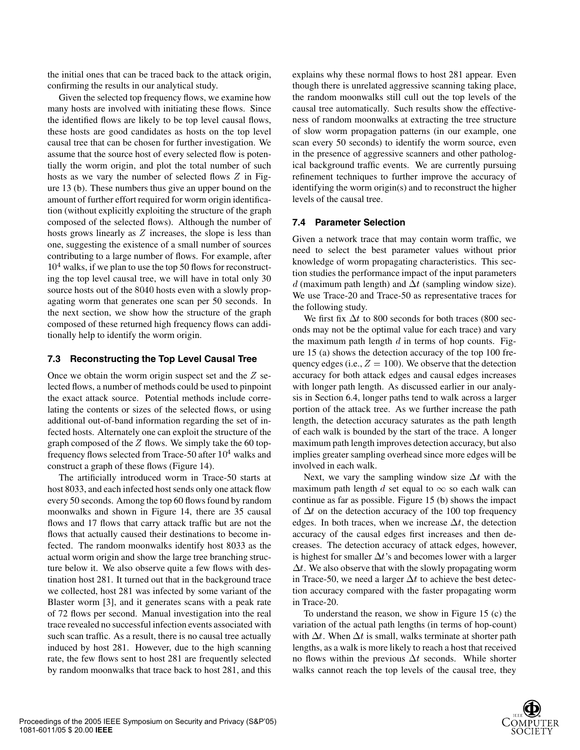the initial ones that can be traced back to the attack origin, confirming the results in our analytical study.

Given the selected top frequency flows, we examine how many hosts are involved with initiating these flows. Since the identified flows are likely to be top level causal flows, these hosts are good candidates as hosts on the top level causal tree that can be chosen for further investigation. We assume that the source host of every selected flow is potentially the worm origin, and plot the total number of such hosts as we vary the number of selected flows  $Z$  in Figure 13 (b). These numbers thus give an upper bound on the amount of further effort required for worm origin identification (without explicitly exploiting the structure of the graph composed of the selected flows). Although the number of hosts grows linearly as  $Z$  increases, the slope is less than one, suggesting the existence of a small number of sources contributing to a large number of flows. For example, after  $10<sup>4</sup>$  walks, if we plan to use the top 50 flows for reconstructing the top level causal tree, we will have in total only 30 source hosts out of the 8040 hosts even with a slowly propagating worm that generates one scan per 50 seconds. In the next section, we show how the structure of the graph composed of these returned high frequency flows can additionally help to identify the worm origin.

#### **7.3 Reconstructing the Top Level Causal Tree**

Once we obtain the worm origin suspect set and the  $Z$  selected flows, a number of methods could be used to pinpoint the exact attack source. Potential methods include correlating the contents or sizes of the selected flows, or using additional out-of-band information regarding the set of infected hosts. Alternately one can exploit the structure of the graph composed of the  $Z$  flows. We simply take the 60 topfrequency flows selected from Trace-50 after  $10^4$  walks and construct a graph of these flows (Figure 14).

The artificially introduced worm in Trace-50 starts at host 8033, and each infected host sends only one attack flow every 50 seconds. Among the top 60 flows found by random moonwalks and shown in Figure 14, there are 35 causal flows and 17 flows that carry attack traffic but are not the flows that actually caused their destinations to become infected. The random moonwalks identify host 8033 as the actual worm origin and show the large tree branching structure below it. We also observe quite a few flows with destination host 281. It turned out that in the background trace we collected, host 281 was infected by some variant of the Blaster worm [3], and it generates scans with a peak rate of 72 flows per second. Manual investigation into the real trace revealed no successful infection events associated with such scan traffic. As a result, there is no causal tree actually induced by host 281. However, due to the high scanning rate, the few flows sent to host 281 are frequently selected by random moonwalks that trace back to host 281, and this explains why these normal flows to host 281 appear. Even though there is unrelated aggressive scanning taking place, the random moonwalks still cull out the top levels of the causal tree automatically. Such results show the effectiveness of random moonwalks at extracting the tree structure of slow worm propagation patterns (in our example, one scan every 50 seconds) to identify the worm source, even in the presence of aggressive scanners and other pathological background traffic events. We are currently pursuing refinement techniques to further improve the accuracy of identifying the worm origin(s) and to reconstruct the higher levels of the causal tree.

#### **7.4 Parameter Selection**

Given a network trace that may contain worm traffic, we need to select the best parameter values without prior knowledge of worm propagating characteristics. This section studies the performance impact of the input parameters d (maximum path length) and  $\Delta t$  (sampling window size). We use Trace-20 and Trace-50 as representative traces for the following study.

We first fix  $\Delta t$  to 800 seconds for both traces (800 seconds may not be the optimal value for each trace) and vary the maximum path length  $d$  in terms of hop counts. Figure 15 (a) shows the detection accuracy of the top 100 frequency edges (i.e.,  $Z = 100$ ). We observe that the detection accuracy for both attack edges and causal edges increases with longer path length. As discussed earlier in our analysis in Section 6.4, longer paths tend to walk across a larger portion of the attack tree. As we further increase the path length, the detection accuracy saturates as the path length of each walk is bounded by the start of the trace. A longer maximum path length improves detection accuracy, but also implies greater sampling overhead since more edges will be involved in each walk.

Next, we vary the sampling window size  $\Delta t$  with the maximum path length d set equal to  $\infty$  so each walk can continue as far as possible. Figure 15 (b) shows the impact of  $\Delta t$  on the detection accuracy of the 100 top frequency edges. In both traces, when we increase  $\Delta t$ , the detection accuracy of the causal edges first increases and then decreases. The detection accuracy of attack edges, however, is highest for smaller  $\Delta t$ 's and becomes lower with a larger  $\Delta t$ . We also observe that with the slowly propagating worm in Trace-50, we need a larger  $\Delta t$  to achieve the best detection accuracy compared with the faster propagating worm in Trace-20.

To understand the reason, we show in Figure 15 (c) the variation of the actual path lengths (in terms of hop-count) with  $\Delta t$ . When  $\Delta t$  is small, walks terminate at shorter path lengths, as a walk is more likely to reach a host that received no flows within the previous  $\Delta t$  seconds. While shorter walks cannot reach the top levels of the causal tree, they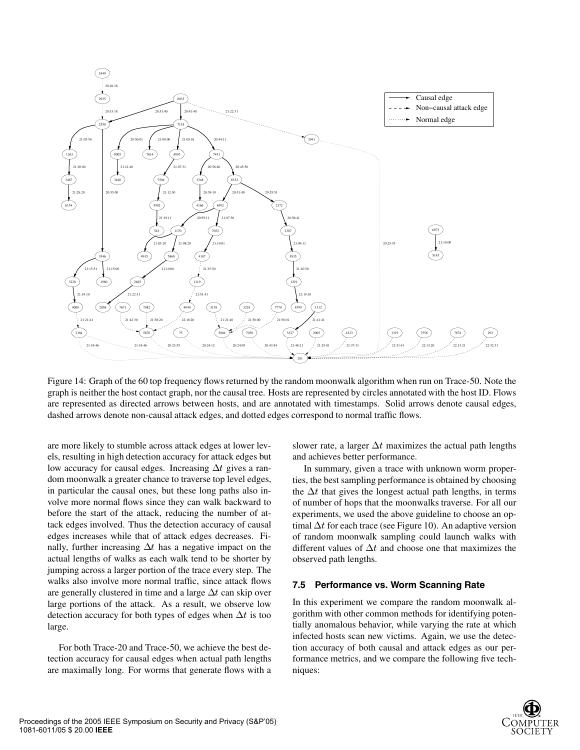

Figure 14: Graph of the 60 top frequency flows returned by the random moonwalk algorithm when run on Trace-50. Note the graph is neither the host contact graph, nor the causal tree. Hosts are represented by circles annotated with the host ID. Flows are represented as directed arrows between hosts, and are annotated with timestamps. Solid arrows denote causal edges, dashed arrows denote non-causal attack edges, and dotted edges correspond to normal traffic flows.

are more likely to stumble across attack edges at lower levels, resulting in high detection accuracy for attack edges but low accuracy for causal edges. Increasing  $\Delta t$  gives a random moonwalk a greater chance to traverse top level edges, in particular the causal ones, but these long paths also involve more normal flows since they can walk backward to before the start of the attack, reducing the number of attack edges involved. Thus the detection accuracy of causal edges increases while that of attack edges decreases. Finally, further increasing  $\Delta t$  has a negative impact on the actual lengths of walks as each walk tend to be shorter by jumping across a larger portion of the trace every step. The walks also involve more normal traffic, since attack flows are generally clustered in time and a large  $\Delta t$  can skip over large portions of the attack. As a result, we observe low detection accuracy for both types of edges when  $\Delta t$  is too large.

For both Trace-20 and Trace-50, we achieve the best detection accuracy for causal edges when actual path lengths are maximally long. For worms that generate flows with a

slower rate, a larger  $\Delta t$  maximizes the actual path lengths and achieves better performance.

In summary, given a trace with unknown worm properties, the best sampling performance is obtained by choosing the  $\Delta t$  that gives the longest actual path lengths, in terms of number of hops that the moonwalks traverse. For all our experiments, we used the above guideline to choose an optimal  $\Delta t$  for each trace (see Figure 10). An adaptive version of random moonwalk sampling could launch walks with different values of  $\Delta t$  and choose one that maximizes the observed path lengths.

#### **7.5 Performance vs. Worm Scanning Rate**

In this experiment we compare the random moonwalk algorithm with other common methods for identifying potentially anomalous behavior, while varying the rate at which infected hosts scan new victims. Again, we use the detection accuracy of both causal and attack edges as our performance metrics, and we compare the following five techniques:

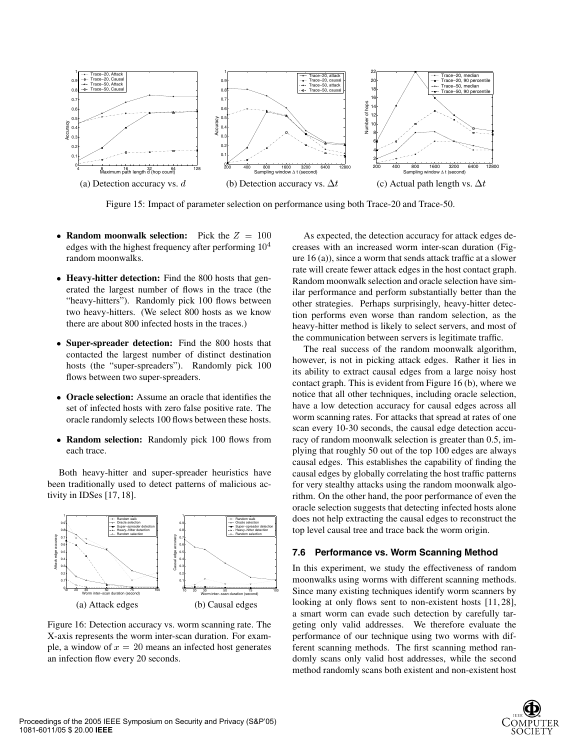

Figure 15: Impact of parameter selection on performance using both Trace-20 and Trace-50.

- **Random moonwalk selection:** Pick the  $Z = 100$ edges with the highest frequency after performing  $10<sup>4</sup>$ random moonwalks.
- **Heavy-hitter detection:** Find the 800 hosts that generated the largest number of flows in the trace (the "heavy-hitters"). Randomly pick 100 flows between two heavy-hitters. (We select 800 hosts as we know there are about 800 infected hosts in the traces.)
- **Super-spreader detection:** Find the 800 hosts that contacted the largest number of distinct destination hosts (the "super-spreaders"). Randomly pick 100 flows between two super-spreaders.
- **Oracle selection:** Assume an oracle that identifies the set of infected hosts with zero false positive rate. The oracle randomly selects 100 flows between these hosts.
- **Random selection:** Randomly pick 100 flows from each trace.

Both heavy-hitter and super-spreader heuristics have been traditionally used to detect patterns of malicious activity in IDSes [17, 18].



Figure 16: Detection accuracy vs. worm scanning rate. The X-axis represents the worm inter-scan duration. For example, a window of  $x = 20$  means an infected host generates an infection flow every 20 seconds.

 As expected, the detection accuracy for attack edges de-<sup>4</sup> creases with an increased worm inter-scan duration (Figure 16 (a)), since a worm that sends attack traffic at a slower rate will create fewer attack edges in the host contact graph. Random moonwalk selection and oracle selection have similar performance and perform substantially better than the other strategies. Perhaps surprisingly, heavy-hitter detection performs even worse than random selection, as the heavy-hitter method is likely to select servers, and most of the communication between servers is legitimate traffic.

The real success of the random moonwalk algorithm, however, is not in picking attack edges. Rather it lies in its ability to extract causal edges from a large noisy host contact graph. This is evident from Figure 16 (b), where we notice that all other techniques, including oracle selection, have a low detection accuracy for causal edges across all worm scanning rates. For attacks that spread at rates of one scan every 10-30 seconds, the causal edge detection accuracy of random moonwalk selection is greater than 0.5, implying that roughly 50 out of the top 100 edges are always causal edges. This establishes the capability of finding the causal edges by globally correlating the host traffic patterns for very stealthy attacks using the random moonwalk algorithm. On the other hand, the poor performance of even the oracle selection suggests that detecting infected hosts alone does not help extracting the causal edges to reconstruct the top level causal tree and trace back the worm origin.

#### **7.6 Performance vs. Worm Scanning Method**

In this experiment, we study the effectiveness of random moonwalks using worms with different scanning methods. Since many existing techniques identify worm scanners by looking at only flows sent to non-existent hosts [11, 28], a smart worm can evade such detection by carefully targeting only valid addresses. We therefore evaluate the performance of our technique using two worms with different scanning methods. The first scanning method randomly scans only valid host addresses, while the second method randomly scans both existent and non-existent host

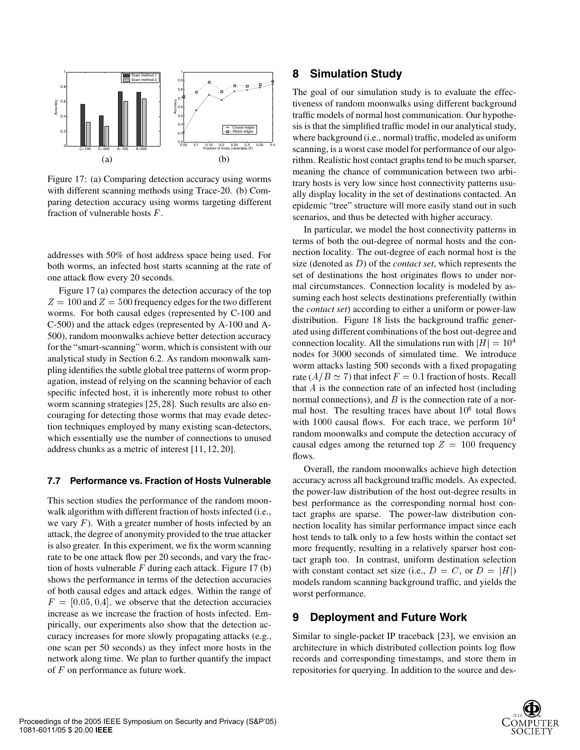

Figure 17: (a) Comparing detection accuracy using worms with different scanning methods using Trace-20. (b) Comparing detection accuracy using worms targeting different fraction of vulnerable hosts  $F$ .

addresses with 50% of host address space being used. For both worms, an infected host starts scanning at the rate of one attack flow every 20 seconds.

Figure 17 (a) compares the detection accuracy of the top  $Z = 100$  and  $Z = 500$  frequency edges for the two different worms. For both causal edges (represented by C-100 and C-500) and the attack edges (represented by A-100 and A-500), random moonwalks achieve better detection accuracy for the "smart-scanning" worm, which is consistent with our analytical study in Section 6.2. As random moonwalk sampling identifies the subtle global tree patterns of worm propagation, instead of relying on the scanning behavior of each specific infected host, it is inherently more robust to other worm scanning strategies [25, 28]. Such results are also encouraging for detecting those worms that may evade detection techniques employed by many existing scan-detectors, which essentially use the number of connections to unused address chunks as a metric of interest [11, 12, 20].

#### **7.7 Performance vs. Fraction of Hosts Vulnerable**

This section studies the performance of the random moonwalk algorithm with different fraction of hosts infected (i.e., we vary  $F$ ). With a greater number of hosts infected by an attack, the degree of anonymity provided to the true attacker is also greater. In this experiment, we fix the worm scanning rate to be one attack flow per 20 seconds, and vary the fraction of hosts vulnerable  $F$  during each attack. Figure 17 (b) shows the performance in terms of the detection accuracies of both causal edges and attack edges. Within the range of  $F = [0.05, 0.4]$ , we observe that the detection accuracies increase as we increase the fraction of hosts infected. Empirically, our experiments also show that the detection accuracy increases for more slowly propagating attacks (e.g., one scan per 50 seconds) as they infect more hosts in the network along time. We plan to further quantify the impact of  $F$  on performance as future work.

### **8 Simulation Study**

The goal of our simulation study is to evaluate the effectiveness of random moonwalks using different background traffic models of normal host communication. Our hypothesis is that the simplified traffic model in our analytical study, where background (i.e., normal) traffic, modeled as uniform scanning, is a worst case model for performance of our algorithm. Realistic host contact graphs tend to be much sparser, meaning the chance of communication between two arbitrary hosts is very low since host connectivity patterns usually display locality in the set of destinations contacted. An epidemic "tree" structure will more easily stand out in such scenarios, and thus be detected with higher accuracy.

In particular, we model the host connectivity patterns in terms of both the out-degree of normal hosts and the connection locality. The out-degree of each normal host is the size (denoted as  $D$ ) of the *contact set*, which represents the set of destinations the host originates flows to under normal circumstances. Connection locality is modeled by assuming each host selects destinations preferentially (within the *contact set*) according to either a uniform or power-law distribution. Figure 18 lists the background traffic generated using different combinations of the host out-degree and connection locality. All the simulations run with  $|H| = 10^4$ nodes for 3000 seconds of simulated time. We introduce worm attacks lasting 500 seconds with a fixed propagating rate ( $A/B \simeq 7$ ) that infect  $F = 0.1$  fraction of hosts. Recall that  $A$  is the connection rate of an infected host (including normal connections), and  $B$  is the connection rate of a normal host. The resulting traces have about  $10<sup>6</sup>$  total flows with  $1000$  causal flows. For each trace, we perform  $10<sup>4</sup>$ random moonwalks and compute the detection accuracy of causal edges among the returned top  $Z = 100$  frequency flows.

Overall, the random moonwalks achieve high detection accuracy across all background traffic models. As expected, the power-law distribution of the host out-degree results in best performance as the corresponding normal host contact graphs are sparse. The power-law distribution connection locality has similar performance impact since each host tends to talk only to a few hosts within the contact set more frequently, resulting in a relatively sparser host contact graph too. In contrast, uniform destination selection with constant contact set size (i.e.,  $D = C$ , or  $D = |H|$ ) models random scanning background traffic, and yields the worst performance.

### **9 Deployment and Future Work**

Similar to single-packet IP traceback [23], we envision an architecture in which distributed collection points log flow records and corresponding timestamps, and store them in repositories for querying. In addition to the source and des-

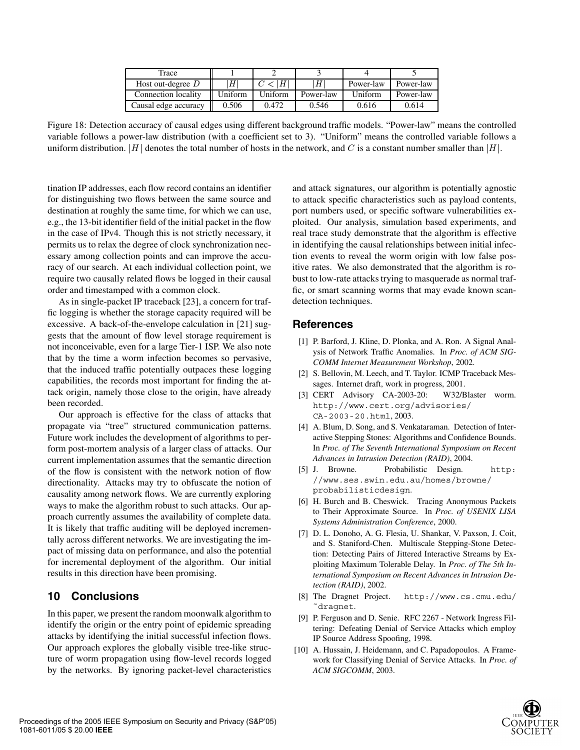| Trace                |         |         |           |           |           |
|----------------------|---------|---------|-----------|-----------|-----------|
| Host out-degree $D$  |         |         | Η         | Power-law | Power-law |
| Connection locality  | Uniform | Uniform | Power-law | Uniform   | Power-law |
| Causal edge accuracy | 0.506   | 0.472   | 0.546     | 0.616     | 0.614     |

Figure 18: Detection accuracy of causal edges using different background traffic models. "Power-law" means the controlled variable follows a power-law distribution (with a coefficient set to 3). "Uniform" means the controlled variable follows a uniform distribution.  $|H|$  denotes the total number of hosts in the network, and C is a constant number smaller than  $|H|$ .

tination IP addresses, each flow record contains an identifier for distinguishing two flows between the same source and destination at roughly the same time, for which we can use, e.g., the 13-bit identifier field of the initial packet in the flow in the case of IPv4. Though this is not strictly necessary, it permits us to relax the degree of clock synchronization necessary among collection points and can improve the accuracy of our search. At each individual collection point, we require two causally related flows be logged in their causal order and timestamped with a common clock.

As in single-packet IP traceback [23], a concern for traffic logging is whether the storage capacity required will be excessive. A back-of-the-envelope calculation in [21] suggests that the amount of flow level storage requirement is not inconceivable, even for a large Tier-1 ISP. We also note that by the time a worm infection becomes so pervasive, that the induced traffic potentially outpaces these logging capabilities, the records most important for finding the attack origin, namely those close to the origin, have already been recorded.

Our approach is effective for the class of attacks that propagate via "tree" structured communication patterns. Future work includes the development of algorithms to perform post-mortem analysis of a larger class of attacks. Our current implementation assumes that the semantic direction of the flow is consistent with the network notion of flow directionality. Attacks may try to obfuscate the notion of causality among network flows. We are currently exploring ways to make the algorithm robust to such attacks. Our approach currently assumes the availability of complete data. It is likely that traffic auditing will be deployed incrementally across different networks. We are investigating the impact of missing data on performance, and also the potential for incremental deployment of the algorithm. Our initial results in this direction have been promising.

# **10 Conclusions**

In this paper, we present the random moonwalk algorithm to identify the origin or the entry point of epidemic spreading attacks by identifying the initial successful infection flows. Our approach explores the globally visible tree-like structure of worm propagation using flow-level records logged by the networks. By ignoring packet-level characteristics and attack signatures, our algorithm is potentially agnostic to attack specific characteristics such as payload contents, port numbers used, or specific software vulnerabilities exploited. Our analysis, simulation based experiments, and real trace study demonstrate that the algorithm is effective in identifying the causal relationships between initial infection events to reveal the worm origin with low false positive rates. We also demonstrated that the algorithm is robust to low-rate attacks trying to masquerade as normal traffic, or smart scanning worms that may evade known scandetection techniques.

# **References**

- [1] P. Barford, J. Kline, D. Plonka, and A. Ron. A Signal Analysis of Network Traffic Anomalies. In *Proc. of ACM SIG-COMM Internet Measurement Workshop*, 2002.
- [2] S. Bellovin, M. Leech, and T. Taylor. ICMP Traceback Messages. Internet draft, work in progress, 2001.
- [3] CERT Advisory CA-2003-20: W32/Blaster worm. http://www.cert.org/advisories/ CA-2003-20.html, 2003.
- [4] A. Blum, D. Song, and S. Venkataraman. Detection of Interactive Stepping Stones: Algorithms and Confidence Bounds. In *Proc. of The Seventh International Symposium on Recent Advances in Intrusion Detection (RAID)*, 2004.
- [5] J. Browne. Probabilistic Design. http: //www.ses.swin.edu.au/homes/browne/ probabilisticdesign.
- [6] H. Burch and B. Cheswick. Tracing Anonymous Packets to Their Approximate Source. In *Proc. of USENIX LISA Systems Administration Conference*, 2000.
- [7] D. L. Donoho, A. G. Flesia, U. Shankar, V. Paxson, J. Coit, and S. Staniford-Chen. Multiscale Stepping-Stone Detection: Detecting Pairs of Jittered Interactive Streams by Exploiting Maximum Tolerable Delay. In *Proc. of The 5th International Symposium on Recent Advances in Intrusion Detection (RAID)*, 2002.
- [8] The Dragnet Project. http://www.cs.cmu.edu/ ˜dragnet.
- [9] P. Ferguson and D. Senie. RFC 2267 Network Ingress Filtering: Defeating Denial of Service Attacks which employ IP Source Address Spoofing, 1998.
- [10] A. Hussain, J. Heidemann, and C. Papadopoulos. A Framework for Classifying Denial of Service Attacks. In *Proc. of ACM SIGCOMM*, 2003.